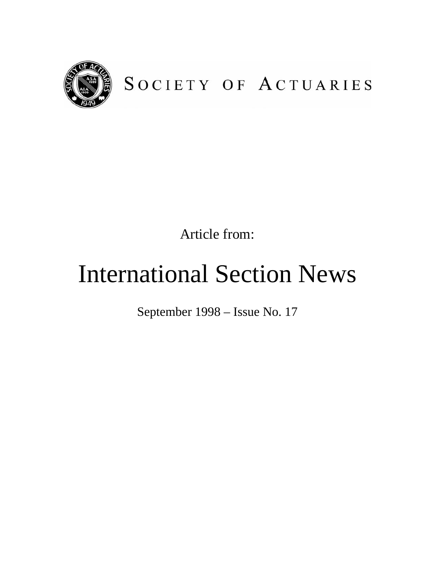

## SOCIETY OF ACTUARIES

Article from:

# International Section News

September 1998 – Issue No. 17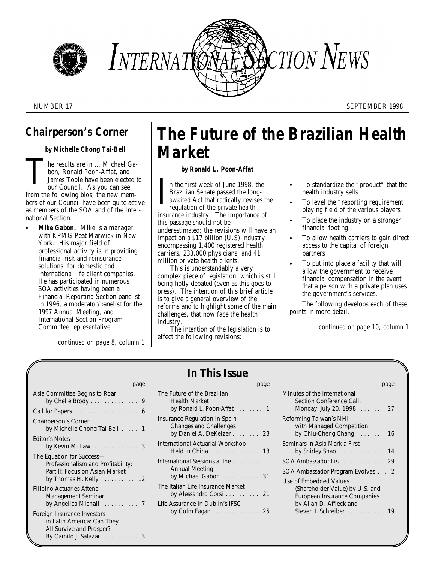



NUMBER 17 SEPTEMBER 1998

### *Chairperson's Corner*

#### *by Michelle Chong Tai-Bell*

he results are in … Michael Ga- Tbon, Ronald Poon-Affat, and James Toole have been elected to our Council. As you can see from the following bios, the new members of our Council have been quite active as members of the SOA and of the International Section.

**Mike Gabon.** Mike is a manager with KPMG Peat Marwick in New York. His major field of professional activity is in providing financial risk and reinsurance solutions for domestic and international life client companies. He has participated in numerous SOA activities having been a Financial Reporting Section panelist in 1996, a moderator/panelist for the 1997 Annual Meeting, and International Section Program Committee representative

*continued on page 8, column 1*

### *The Future of the Brazilian Health Market*

#### *by Ronald L. Poon-Affat*

In the first week of June 1998, the C To standardize the "product" that the Brazilian Senate passed the long-<br>awaited Act that radically revises the To level the "reporting requirement"<br>regulation of the private health<br>abo Brazilian Senate passed the long-<br>
health industry sells awaited Act that radically revises the regulation of the private health insurance industry. The importance of this passage should not be underestimated; the revisions will have an impact on a \$17 billion (U.S) industry encompassing 1,400 registered health carriers, 233,000 physicians, and 41 million private health clients.

This is understandably a very complex piece of legislation, which is still being hotly debated (even as this goes to press). The intention of this brief article is to give a general overview of the reforms and to highlight some of the main challenges, that now face the health industry.

The intention of the legislation is to effect the following revisions:

- 
- To level the "reporting requirement" playing field of the various players
- To place the industry on a stronger financial footing
- To allow health carriers to gain direct access to the capital of foreign partners
- To put into place a facility that will allow the government to receive financial compensation in the event that a person with a private plan uses the government's services.

The following develops each of these points in more detail.

*continued on page 10, column 1*

| page                                                                                                                                   | page                                                                                             |
|----------------------------------------------------------------------------------------------------------------------------------------|--------------------------------------------------------------------------------------------------|
| Asia Committee Begins to Roar<br>by Chelle Brody 9                                                                                     | The Future of the Brazilian<br><b>Health Market</b><br>by Ronald L. Poon-Affat $\ldots \ldots$ 1 |
| <b>Chairperson's Corner</b><br>by Michelle Chong Tai-Bell  1                                                                           | Insurance Regulation in Spain-<br>Changes and Challenges<br>by Daniel A. DeKeizer 23             |
| <b>Editor's Notes</b><br>by Kevin M. Law $\ldots \ldots \ldots \ldots$ 3                                                               | International Actuarial Workshop<br>Held in China  13                                            |
| The Equation for Success-<br>Professionalism and Profitability:<br>Part II: Focus on Asian Market<br>by Thomas H. Kelly 12             | International Sessions at the<br>Annual Meeting<br>by Michael Gabon 31                           |
| Filipino Actuaries Attend<br>Management Seminar                                                                                        | The Italian Life Insurance Market<br>by Alessandro Corsi $\ldots \ldots \ldots$ 21               |
| Foreign Insurance Investors<br>in Latin America: Can They<br>All Survive and Prosper?<br>By Camilo J. Salazar $\ldots \ldots \ldots$ 3 | Life Assurance in Dublin's IFSC<br>by Colm Fagan $\ldots \ldots \ldots 25$                       |

|  | In This Issue |  |
|--|---------------|--|
|  |               |  |

| Minutes of the International<br>Section Conference Call.<br>Monday, July 20, 1998<br>. 27                                                         |
|---------------------------------------------------------------------------------------------------------------------------------------------------|
| Reforming Taiwan's NHI<br>with Managed Competition<br>by Chiu-Cheng Chang  16                                                                     |
| Seminars in Asia Mark a First<br>by Shirley Shao 14                                                                                               |
| SOA Ambassador List 29                                                                                                                            |
| SOA Ambassador Program Evolves 2                                                                                                                  |
| Use of Embedded Values<br>(Shareholder Value) by U.S. and<br>European Insurance Companies<br>by Allan D. Affleck and<br>Steven I. Schreiber<br>19 |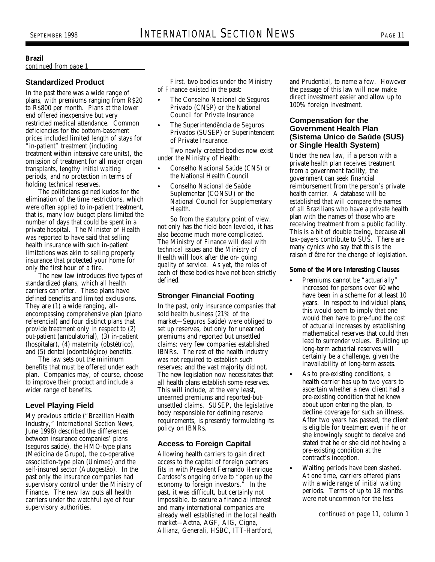#### **Brazil**

#### *continued from page 1*

#### **Standardized Product**

In the past there was a wide range of plans, with premiums ranging from R\$20 to R\$800 per month. Plans at the lower end offered inexpensive but very restricted medical attendance. Common deficiencies for the bottom-basement prices included limited length of stays for "in-patient" treatment (including treatment within intensive care units), the omission of treatment for all major organ transplants, lengthy initial waiting periods, and no protection in terms of holding technical reserves.

The politicians gained kudos for the elimination of the time restrictions, which were often applied to in-patient treatment, that is, many low budget plans limited the number of days that could be spent in a private hospital. The Minister of Health was reported to have said that selling health insurance with such in-patient limitations was akin to selling property insurance that protected your home for only the first hour of a fire.

The new law introduces five types of standardized plans, which all health carriers can offer. These plans have defined benefits and limited exclusions. They are (1) a wide ranging, allencompassing comprehensive plan (plano referencial) and four distinct plans that provide treatment only in respect to (2) out-patient (ambulatorial), (3) in-patient (hospitalar), (4) maternity (obstétrico), and (5) dental (odontológico) benefits.

The law sets out the minimum benefits that must be offered under each plan. Companies may, of course, choose to improve their product and include a wider range of benefits.

#### **Level Playing Field**

My previous article ("Brazilian Health Industry," *International Section News,* June 1998) described the differences between insurance companies' plans (seguros saúde), the HMO-type plans (Medicina de Grupo), the co-operative association-type plan (Unimed) and the self-insured sector (Autogestão). In the past only the insurance companies had supervisory control under the Ministry of Finance. The new law puts all health carriers under the watchful eye of four supervisory authorities.

of Finance existed in the past: the passage of this law will now make

- Privado (CNSP) or the National Council for Private Insurance
- The Superintendência de Seguros Privados (SUSEP) or Superintendent of Private Insurance.

Two newly created bodies now exist under the Ministry of Health:

- C Conselho Nacional Saúde (CNS) or the National Health Council
- Conselho Nacional de Saúde Suplementar (CONSU) or the National Council for Supplementary Health.

So from the statutory point of view, not only has the field been leveled, it has also become much more complicated. The Ministry of Finance will deal with technical issues and the Ministry of Health will look after the on- going quality of service. As yet, the roles of each of these bodies have not been strictly defined.

#### **Stronger Financial Footing**

In the past, only insurance companies that sold health business (21% of the market—Seguros Saúde) were obliged to set up reserves, but only for unearned premiums and reported but unsettled claims; very few companies established IBNRs. The rest of the health industry was not required to establish such reserves; and the vast majority did not. The new legislation now necessitates that all health plans establish some reserves. This will include, at the very least, unearned premiums and reported-butunsettled claims. SUSEP, the legislative body responsible for defining reserve requirements, is presently formulating its policy on IBNRs.

#### **Access to Foreign Capital**

Allowing health carriers to gain direct access to the capital of foreign partners fits in with President Fernando Henrique Cardoso's ongoing drive to "open up the economy to foreign investors." In the past, it was difficult, but certainly not impossible, to secure a financial interest and many international companies are already well established in the local health market—Aetna, AGF, AIG, Cigna, Allianz, Generali, HSBC, ITT-Hartford,

First, two bodies under the Ministry and Prudential, to name a few. However The Conselho Nacional de Seguros direct investment easier and allow up to 100% foreign investment.

#### **Compensation for the Government Health Plan (Sistema Unico de Saúde (SUS) or Single Health System)**

Under the new law, if a person with a private health plan receives treatment from a government facility, the government can seek financial reimbursement from the person's private health carrier. A database will be established that will compare the names of all Brazilians who have a private health plan with the names of those who are receiving treatment from a public facility. This is a bit of double taxing, because all tax-payers contribute to SUS. There are many cynics who say that this is the raison d'être for the change of legislation.

#### *Some of the More Interesting Clauses*

- Premiums cannot be "actuarially" increased for persons over 60 who have been in a scheme for at least 10 years. In respect to individual plans, this would seem to imply that one would then have to pre-fund the cost of actuarial increases by establishing mathematical reserves that could then lead to surrender values. Building up long-term actuarial reserves will certainly be a challenge, given the inavailability of long-term assets.
- As to pre-existing conditions, a health carrier has up to two years to ascertain whether a new client had a pre-existing condition that he knew about upon entering the plan, to decline coverage for such an illness. After two years has passed, the client is eligible for treatment even if he or she knowingly sought to deceive and stated that he or she did not having a pre-existing condition at the contract's inception.
- Waiting periods have been slashed. At one time, carriers offered plans with a wide range of initial waiting periods. Terms of up to 18 months were not uncommon for the less

*continued on page 11, column 1*